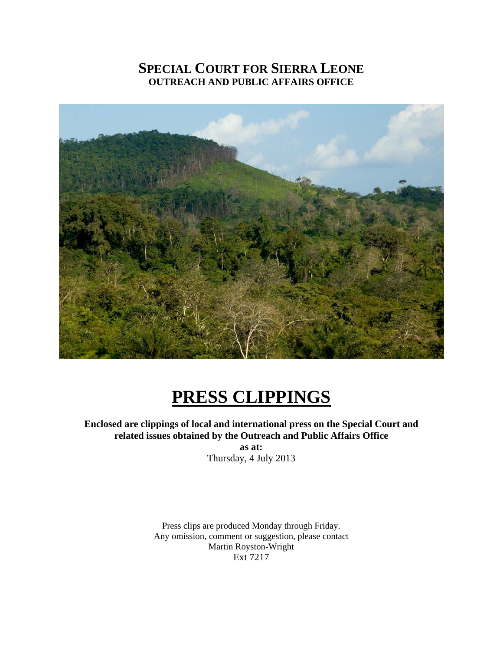## **SPECIAL COURT FOR SIERRA LEONE OUTREACH AND PUBLIC AFFAIRS OFFICE**



# **PRESS CLIPPINGS**

**Enclosed are clippings of local and international press on the Special Court and related issues obtained by the Outreach and Public Affairs Office** 

**as at:**  Thursday, 4 July 2013

Press clips are produced Monday through Friday. Any omission, comment or suggestion, please contact Martin Royston-Wright Ext 7217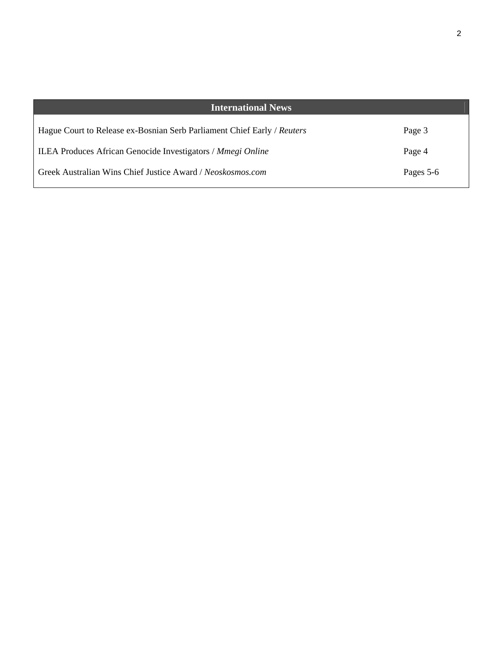| <b>International News</b>                                               |           |
|-------------------------------------------------------------------------|-----------|
| Hague Court to Release ex-Bosnian Serb Parliament Chief Early / Reuters | Page 3    |
| ILEA Produces African Genocide Investigators / Mmegi Online             | Page 4    |
| Greek Australian Wins Chief Justice Award / Neoskosmos.com              | Pages 5-6 |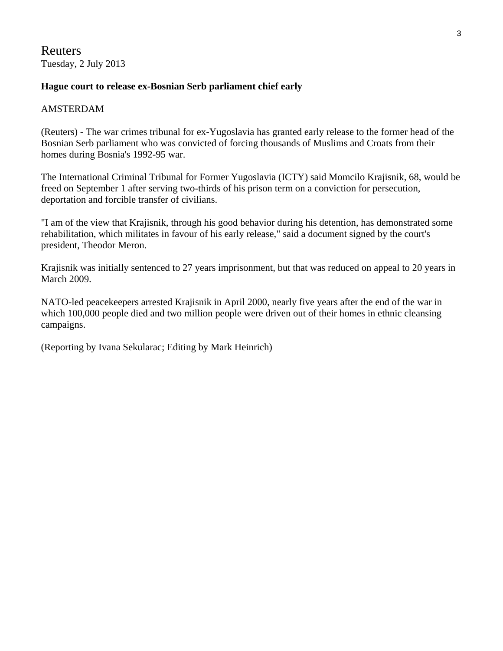## Reuters Tuesday, 2 July 2013

## **Hague court to release ex-Bosnian Serb parliament chief early**

#### AMSTERDAM

(Reuters) - The war crimes tribunal for ex-Yugoslavia has granted early release to the former head of the Bosnian Serb parliament who was convicted of forcing thousands of Muslims and Croats from their homes during Bosnia's 1992-95 war.

The International Criminal Tribunal for Former Yugoslavia (ICTY) said Momcilo Krajisnik, 68, would be freed on September 1 after serving two-thirds of his prison term on a conviction for persecution, deportation and forcible transfer of civilians.

"I am of the view that Krajisnik, through his good behavior during his detention, has demonstrated some rehabilitation, which militates in favour of his early release," said a document signed by the court's president, Theodor Meron.

Krajisnik was initially sentenced to 27 years imprisonment, but that was reduced on appeal to 20 years in March 2009.

NATO-led peacekeepers arrested Krajisnik in April 2000, nearly five years after the end of the war in which 100,000 people died and two million people were driven out of their homes in ethnic cleansing campaigns.

(Reporting by Ivana Sekularac; Editing by Mark Heinrich)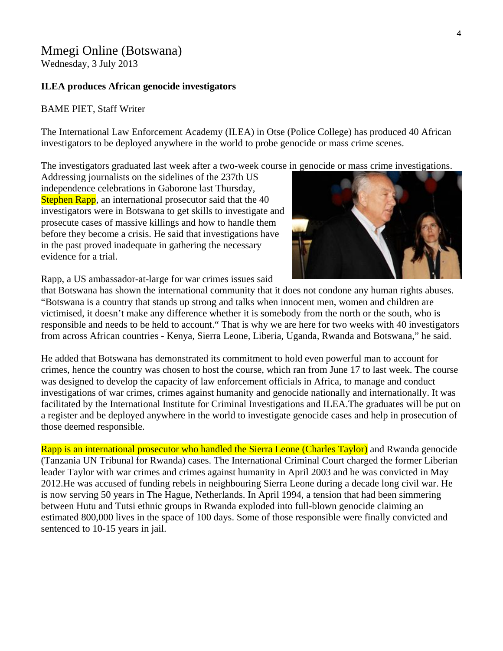## Mmegi Online (Botswana)

Wednesday, 3 July 2013

#### **ILEA produces African genocide investigators**

#### BAME PIET, Staff Writer

The International Law Enforcement Academy (ILEA) in Otse (Police College) has produced 40 African investigators to be deployed anywhere in the world to probe genocide or mass crime scenes.

The investigators graduated last week after a two-week course in genocide or mass crime investigations.

Addressing journalists on the sidelines of the 237th US independence celebrations in Gaborone last Thursday, Stephen Rapp, an international prosecutor said that the 40 investigators were in Botswana to get skills to investigate a nd prosecute cases of massive killings and how to handle them before they become a crisis. He said that investigations have in the past proved inadequate in gathering the necessary evidence for a trial.



Rapp, a US ambassador-at-large for war crimes issues said

that Botswana has shown the international community that it does not condone any human rights abuses. "Botswana is a country that stands up strong and talks when innocent men, women and children are victimised, it doesn't make any difference whether it is somebody from the north or the south, who is responsible and needs to be held to account." That is why we are here for two weeks with 40 investigators from across African countries - Kenya, Sierra Leone, Liberia, Uganda, Rwanda and Botswana," he said.

He added that Botswana has demonstrated its commitment to hold even powerful man to account for crimes, hence the country was chosen to host the course, which ran from June 17 to last week. The course was designed to develop the capacity of law enforcement officials in Africa, to manage and conduct investigations of war crimes, crimes against humanity and genocide nationally and internationally. It was facilitated by the International Institute for Criminal Investigations and ILEA.The graduates will be put on a register and be deployed anywhere in the world to investigate genocide cases and help in prosecution of those deemed responsible.

Rapp is an international prosecutor who handled the Sierra Leone (Charles Taylor) and Rwanda genocide (Tanzania UN Tribunal for Rwanda) cases. The International Criminal Court charged the former Liberian leader Taylor with war crimes and crimes against humanity in April 2003 and he was convicted in May 2012.He was accused of funding rebels in neighbouring Sierra Leone during a decade long civil war. He is now serving 50 years in The Hague, Netherlands. In April 1994, a tension that had been simmering between Hutu and Tutsi ethnic groups in Rwanda exploded into full-blown genocide claiming an estimated 800,000 lives in the space of 100 days. Some of those responsible were finally convicted and sentenced to 10-15 years in jail.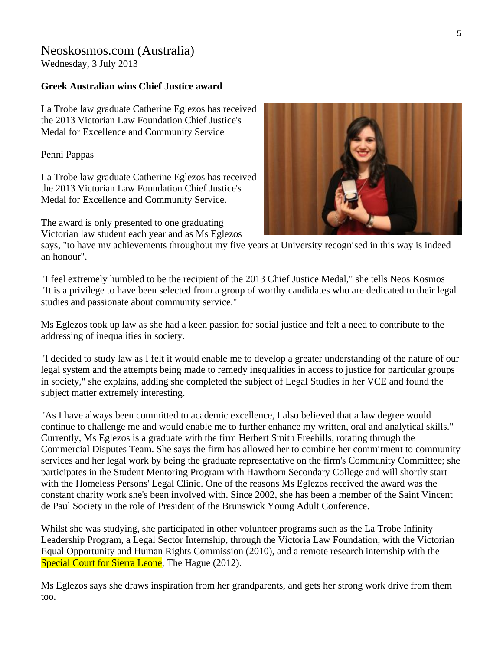## Neoskosmos.com (Australia) Wednesday, 3 July 2013

### **Greek Australian wins Chief Justice award**

La Trobe law graduate Catherine Eglezos has r eceived the 2013 Victorian Law Foundation Chief Justice's Medal for Excellence and Community Service

P enni Pappas

La Trobe law graduate Catherine Eglezos has received the 2013 Victorian Law Foundation Chief Justice's Medal for Excellence and Community Service.

The award is only presented to one graduating Victorian law student each year and as Ms Eglezos



says, "to have my achievements throughout my five years at University recognised in this way is indeed an honour".

"I feel extremely humbled to be the recipient of the 2013 Chief Justice Medal," she tells Neos Kosmos "It is a privilege to have been selected from a group of worthy candidates who are dedicated to their legal studies and passionate about community service."

Ms Eglezos took up law as she had a keen passion for social justice and felt a need to contribute to the addressing of inequalities in society.

"I decided to study law as I felt it would enable me to develop a greater understanding of the nature of our legal system and the attempts being made to remedy inequalities in access to justice for particular groups in society," she explains, adding she completed the subject of Legal Studies in her VCE and found the subject matter extremely interesting.

"As I have always been committed to academic excellence, I also believed that a law degree would continue to challenge me and would enable me to further enhance my written, oral and analytical skills." Commercial Disputes Team. She says the firm has allowed her to combine her commitment to community constant charity work she's been involved with. Since 2002, she has been a member of the Saint Vincent Currently, Ms Eglezos is a graduate with the firm Herbert Smith Freehills, rotating through the services and her legal work by being the graduate representative on the firm's Community Committee; she participates in the Student Mentoring Program with Hawthorn Secondary College and will shortly start with the Homeless Persons' Legal Clinic. One of the reasons Ms Eglezos received the award was the de Paul Society in the role of President of the Brunswick Young Adult Conference.

Whilst she was studying, she participated in other volunteer programs such as the La Trobe Infinity Leadership Program, a Legal Sector Internship, through the Victoria Law Foundation, with the Victorian Equal Opportunity and Human Rights Commission (2010), and a remote research internship with the Special Court for Sierra Leone, The Hague (2012).

Ms Eglezos says she draws inspiration from her grandparents, and gets her strong work drive from them too.